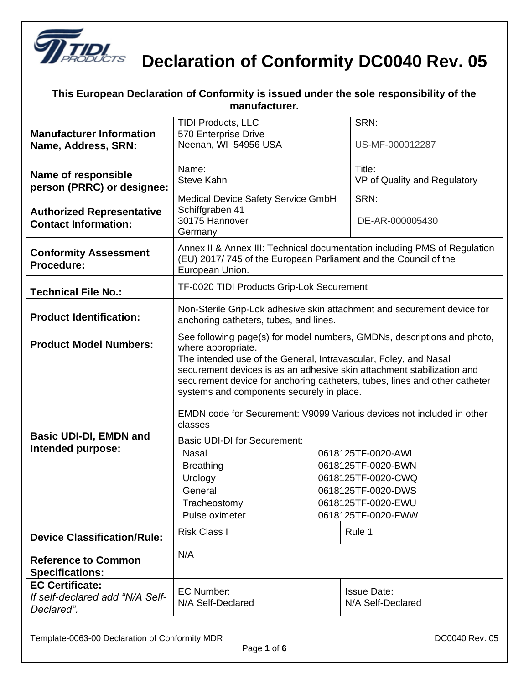

| an booldration or conformity to lo<br>,a anaor ano oono roop<br>manufacturer. |                                                                                                                                                                                                                                                                                                                                                                                                  |                                                                |
|-------------------------------------------------------------------------------|--------------------------------------------------------------------------------------------------------------------------------------------------------------------------------------------------------------------------------------------------------------------------------------------------------------------------------------------------------------------------------------------------|----------------------------------------------------------------|
| <b>Manufacturer Information</b><br>Name, Address, SRN:                        | <b>TIDI Products, LLC</b><br>570 Enterprise Drive<br>Neenah, WI 54956 USA                                                                                                                                                                                                                                                                                                                        | SRN:<br>US-MF-000012287                                        |
| Name of responsible<br>person (PRRC) or designee:                             | Name:<br><b>Steve Kahn</b>                                                                                                                                                                                                                                                                                                                                                                       | Title:<br>VP of Quality and Regulatory                         |
| <b>Authorized Representative</b><br><b>Contact Information:</b>               | Medical Device Safety Service GmbH<br>Schiffgraben 41<br>30175 Hannover<br>Germany                                                                                                                                                                                                                                                                                                               | SRN:<br>DE-AR-000005430                                        |
| <b>Conformity Assessment</b><br>Procedure:                                    | Annex II & Annex III: Technical documentation including PMS of Regulation<br>(EU) 2017/745 of the European Parliament and the Council of the<br>European Union.                                                                                                                                                                                                                                  |                                                                |
| <b>Technical File No.:</b>                                                    | TF-0020 TIDI Products Grip-Lok Securement                                                                                                                                                                                                                                                                                                                                                        |                                                                |
| <b>Product Identification:</b>                                                | Non-Sterile Grip-Lok adhesive skin attachment and securement device for<br>anchoring catheters, tubes, and lines.                                                                                                                                                                                                                                                                                |                                                                |
| <b>Product Model Numbers:</b>                                                 | See following page(s) for model numbers, GMDNs, descriptions and photo,<br>where appropriate.                                                                                                                                                                                                                                                                                                    |                                                                |
| <b>Basic UDI-DI, EMDN and</b><br>Intended purpose:                            | The intended use of the General, Intravascular, Foley, and Nasal<br>securement devices is as an adhesive skin attachment stabilization and<br>securement device for anchoring catheters, tubes, lines and other catheter<br>systems and components securely in place.<br>EMDN code for Securement: V9099 Various devices not included in other<br>classes<br><b>Basic UDI-DI for Securement:</b> |                                                                |
|                                                                               | <b>Nasal</b><br><b>Breathing</b><br>Urology                                                                                                                                                                                                                                                                                                                                                      | 0618125TF-0020-AWL<br>0618125TF-0020-BWN<br>0618125TF-0020-CWQ |
|                                                                               | General<br>0618125TF-0020-DWS<br>Tracheostomy<br>0618125TF-0020-EWU<br>Pulse oximeter<br>0618125TF-0020-FWW                                                                                                                                                                                                                                                                                      |                                                                |
| <b>Device Classification/Rule:</b>                                            | <b>Risk Class I</b>                                                                                                                                                                                                                                                                                                                                                                              | Rule 1                                                         |
| <b>Reference to Common</b><br><b>Specifications:</b>                          | N/A                                                                                                                                                                                                                                                                                                                                                                                              |                                                                |
| <b>EC Certificate:</b><br>If self-declared add "N/A Self-<br>Declared".       | <b>EC Number:</b><br>N/A Self-Declared                                                                                                                                                                                                                                                                                                                                                           | <b>Issue Date:</b><br>N/A Self-Declared                        |

#### **This European Declaration of Conformity is issued under the sole responsibility of the**

Template-0063-00 Declaration of Conformity MDR deviation of Conformity MDR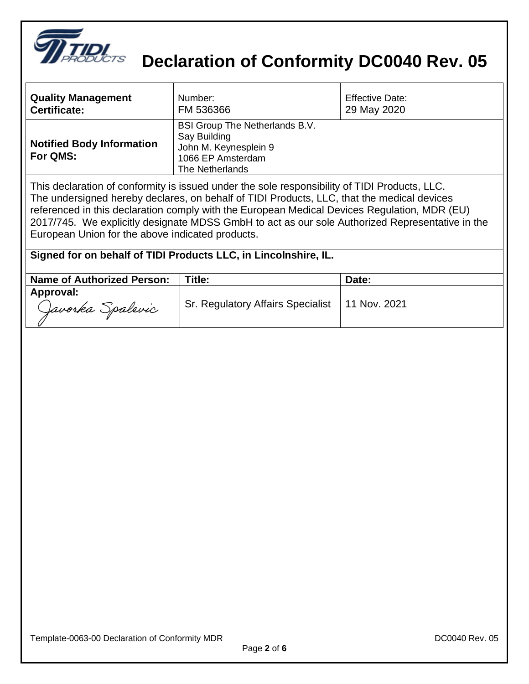

| <b>Quality Management</b>                    | Number:                                                                                                                | <b>Effective Date:</b> |
|----------------------------------------------|------------------------------------------------------------------------------------------------------------------------|------------------------|
| <b>Certificate:</b>                          | FM 536366                                                                                                              | 29 May 2020            |
| <b>Notified Body Information</b><br>For QMS: | <b>BSI Group The Netherlands B.V.</b><br>Say Building<br>John M. Keynesplein 9<br>1066 EP Amsterdam<br>The Netherlands |                        |

This declaration of conformity is issued under the sole responsibility of TIDI Products, LLC. The undersigned hereby declares, on behalf of TIDI Products, LLC, that the medical devices referenced in this declaration comply with the European Medical Devices Regulation, MDR (EU) 2017/745. We explicitly designate MDSS GmbH to act as our sole Authorized Representative in the European Union for the above indicated products.

#### **Signed for on behalf of TIDI Products LLC, in Lincolnshire, IL.**

| <b>Name of Authorized Person:</b> | Title:                                           | Date: |
|-----------------------------------|--------------------------------------------------|-------|
| Approval:<br>Javorka Spalevic     | Sr. Regulatory Affairs Specialist   11 Nov. 2021 |       |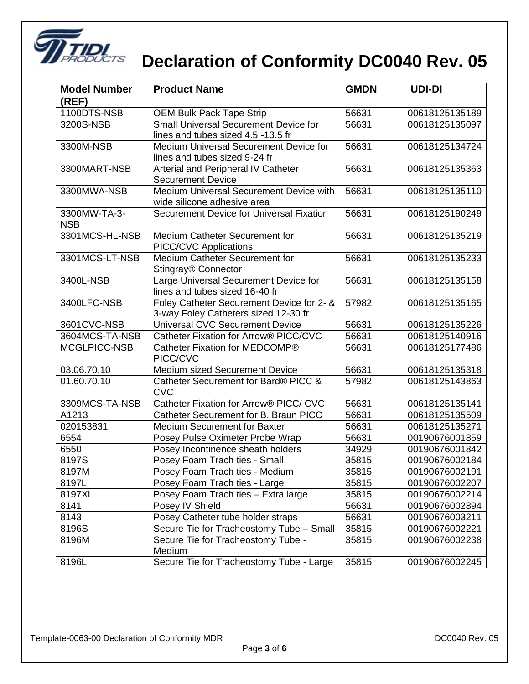

| <b>Model Number</b><br>(REF) | <b>Product Name</b>                                                                | <b>GMDN</b> | <b>UDI-DI</b>  |
|------------------------------|------------------------------------------------------------------------------------|-------------|----------------|
| 1100DTS-NSB                  | <b>OEM Bulk Pack Tape Strip</b>                                                    | 56631       | 00618125135189 |
| 3200S-NSB                    | <b>Small Universal Securement Device for</b><br>lines and tubes sized 4.5 -13.5 fr | 56631       | 00618125135097 |
| 3300M-NSB                    | Medium Universal Securement Device for<br>lines and tubes sized 9-24 fr            | 56631       | 00618125134724 |
| 3300MART-NSB                 | Arterial and Peripheral IV Catheter<br><b>Securement Device</b>                    | 56631       | 00618125135363 |
| 3300MWA-NSB                  | Medium Universal Securement Device with<br>wide silicone adhesive area             | 56631       | 00618125135110 |
| 3300MW-TA-3-<br><b>NSB</b>   | Securement Device for Universal Fixation                                           | 56631       | 00618125190249 |
| 3301MCS-HL-NSB               | Medium Catheter Securement for<br><b>PICC/CVC Applications</b>                     | 56631       | 00618125135219 |
| 3301MCS-LT-NSB               | Medium Catheter Securement for<br>Stingray <sup>®</sup> Connector                  | 56631       | 00618125135233 |
| 3400L-NSB                    | Large Universal Securement Device for<br>lines and tubes sized 16-40 fr            | 56631       | 00618125135158 |
| 3400LFC-NSB                  | Foley Catheter Securement Device for 2- &<br>3-way Foley Catheters sized 12-30 fr  | 57982       | 00618125135165 |
| 3601CVC-NSB                  | <b>Universal CVC Securement Device</b>                                             | 56631       | 00618125135226 |
| 3604MCS-TA-NSB               | Catheter Fixation for Arrow® PICC/CVC                                              | 56631       | 00618125140916 |
| MCGLPICC-NSB                 | Catheter Fixation for MEDCOMP®<br>PICC/CVC                                         | 56631       | 00618125177486 |
| 03.06.70.10                  | Medium sized Securement Device                                                     | 56631       | 00618125135318 |
| 01.60.70.10                  | Catheter Securement for Bard® PICC &<br><b>CVC</b>                                 | 57982       | 00618125143863 |
| 3309MCS-TA-NSB               | Catheter Fixation for Arrow® PICC/ CVC                                             | 56631       | 00618125135141 |
| A1213                        | Catheter Securement for B. Braun PICC                                              | 56631       | 00618125135509 |
| 020153831                    | <b>Medium Securement for Baxter</b>                                                | 56631       | 00618125135271 |
| 6554                         | Posey Pulse Oximeter Probe Wrap                                                    | 56631       | 00190676001859 |
| 6550                         | Posey Incontinence sheath holders                                                  | 34929       | 00190676001842 |
| 8197S                        | Posey Foam Trach ties - Small                                                      | 35815       | 00190676002184 |
| 8197M                        | Posey Foam Trach ties - Medium                                                     | 35815       | 00190676002191 |
| 8197L                        | Posey Foam Trach ties - Large                                                      | 35815       | 00190676002207 |
| 8197XL                       | Posey Foam Trach ties - Extra large                                                | 35815       | 00190676002214 |
| 8141                         | Posey IV Shield                                                                    | 56631       | 00190676002894 |
| 8143                         | Posey Catheter tube holder straps                                                  | 56631       | 00190676003211 |
| 8196S                        | Secure Tie for Tracheostomy Tube - Small                                           | 35815       | 00190676002221 |
| 8196M                        | Secure Tie for Tracheostomy Tube -<br>Medium                                       | 35815       | 00190676002238 |
| 8196L                        | Secure Tie for Tracheostomy Tube - Large                                           | 35815       | 00190676002245 |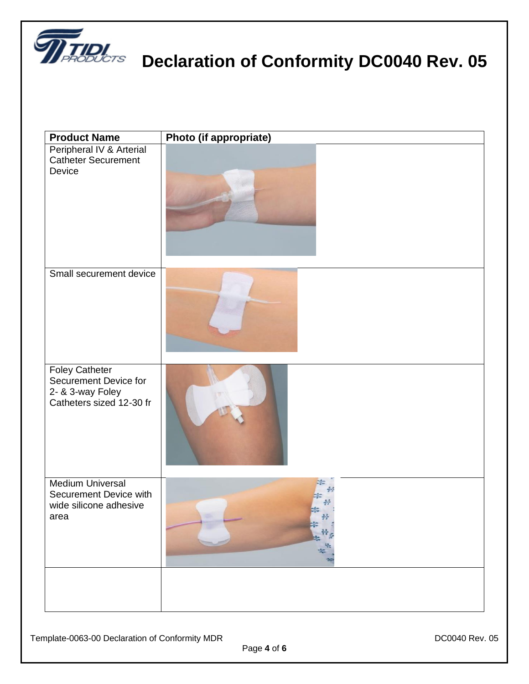

 $\overline{\phantom{a}}$ 

| <b>Product Name</b>                                                                            | Photo (if appropriate) |
|------------------------------------------------------------------------------------------------|------------------------|
| Peripheral IV & Arterial<br><b>Catheter Securement</b><br>Device                               |                        |
| Small securement device                                                                        |                        |
| <b>Foley Catheter</b><br>Securement Device for<br>2- & 3-way Foley<br>Catheters sized 12-30 fr |                        |
| <b>Medium Universal</b><br>Securement Device with<br>wide silicone adhesive<br>area            |                        |
|                                                                                                |                        |

Page **4** of **6**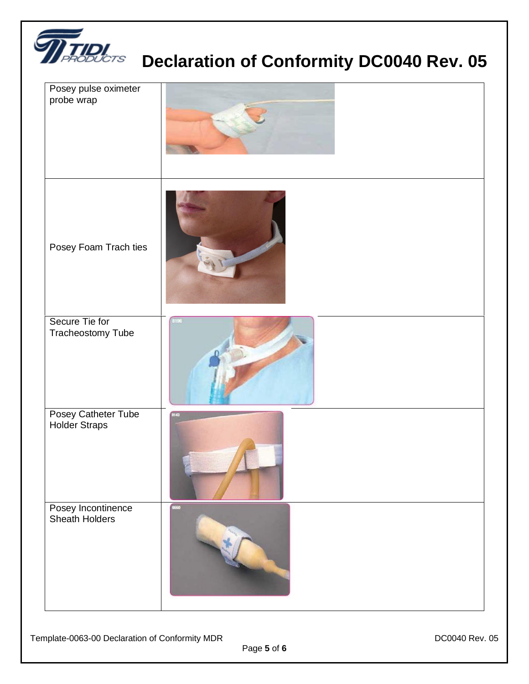

| Posey pulse oximeter<br>probe wrap          |      |
|---------------------------------------------|------|
| Posey Foam Trach ties                       |      |
| Secure Tie for<br>Tracheostomy Tube         | ñΕ   |
| Posey Catheter Tube<br><b>Holder Straps</b> | 8143 |
| Posey Incontinence<br>Sheath Holders        | 6660 |